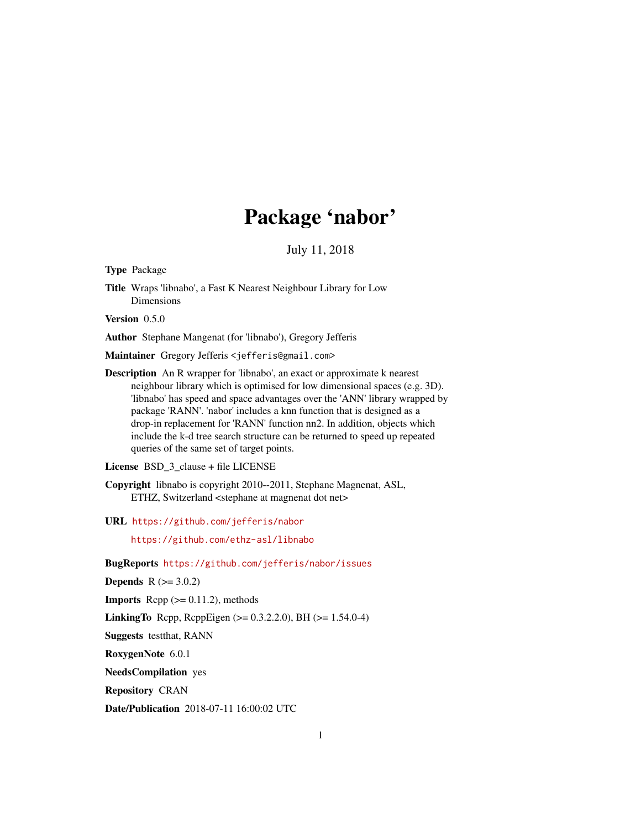# Package 'nabor'

July 11, 2018

<span id="page-0-0"></span>Type Package

Title Wraps 'libnabo', a Fast K Nearest Neighbour Library for Low Dimensions

Version 0.5.0

Author Stephane Mangenat (for 'libnabo'), Gregory Jefferis

Maintainer Gregory Jefferis <jefferis@gmail.com>

Description An R wrapper for 'libnabo', an exact or approximate k nearest neighbour library which is optimised for low dimensional spaces (e.g. 3D). 'libnabo' has speed and space advantages over the 'ANN' library wrapped by package 'RANN'. 'nabor' includes a knn function that is designed as a drop-in replacement for 'RANN' function nn2. In addition, objects which include the k-d tree search structure can be returned to speed up repeated queries of the same set of target points.

License BSD\_3\_clause + file LICENSE

Copyright libnabo is copyright 2010--2011, Stephane Magnenat, ASL, ETHZ, Switzerland <stephane at magnenat dot net>

URL <https://github.com/jefferis/nabor>

<https://github.com/ethz-asl/libnabo>

BugReports <https://github.com/jefferis/nabor/issues>

**Depends**  $R (= 3.0.2)$ 

**Imports** Rcpp  $(>= 0.11.2)$ , methods

**LinkingTo** Rcpp, RcppEigen ( $> = 0.3.2.2.0$ ), BH ( $> = 1.54.0-4$ )

Suggests testthat, RANN

RoxygenNote 6.0.1

NeedsCompilation yes

Repository CRAN

Date/Publication 2018-07-11 16:00:02 UTC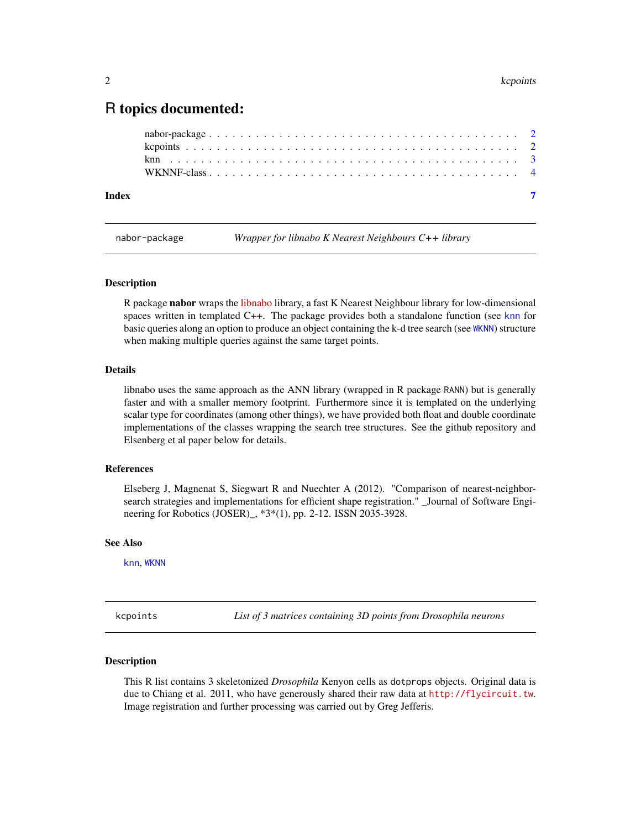## <span id="page-1-0"></span>R topics documented:

nabor-package *Wrapper for libnabo K Nearest Neighbours C++ library*

#### **Description**

R package nabor wraps the [libnabo](https://github.com/ethz-asl/libnabo) library, a fast K Nearest Neighbour library for low-dimensional spaces written in templated C++. The package provides both a standalone function (see [knn](#page-2-1) for basic queries along an option to produce an object containing the k-d tree search (see [WKNN](#page-3-1)) structure when making multiple queries against the same target points.

#### Details

libnabo uses the same approach as the ANN library (wrapped in R package RANN) but is generally faster and with a smaller memory footprint. Furthermore since it is templated on the underlying scalar type for coordinates (among other things), we have provided both float and double coordinate implementations of the classes wrapping the search tree structures. See the github repository and Elsenberg et al paper below for details.

#### References

Elseberg J, Magnenat S, Siegwart R and Nuechter A (2012). "Comparison of nearest-neighborsearch strategies and implementations for efficient shape registration." \_Journal of Software Engineering for Robotics (JOSER)\_, \*3\*(1), pp. 2-12. ISSN 2035-3928.

#### See Also

[knn](#page-2-1), [WKNN](#page-3-1)

kcpoints *List of 3 matrices containing 3D points from Drosophila neurons*

#### Description

This R list contains 3 skeletonized *Drosophila* Kenyon cells as dotprops objects. Original data is due to Chiang et al. 2011, who have generously shared their raw data at <http://flycircuit.tw>. Image registration and further processing was carried out by Greg Jefferis.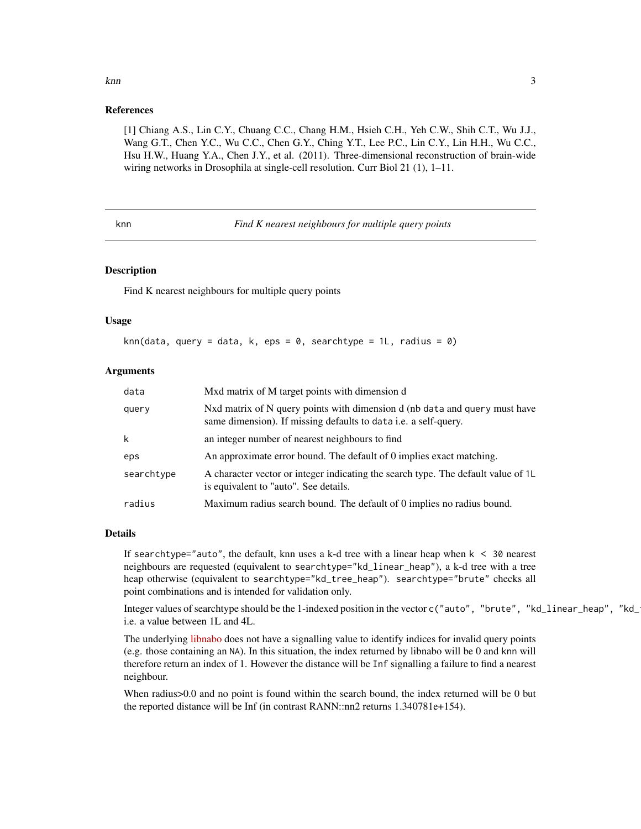# References

[1] Chiang A.S., Lin C.Y., Chuang C.C., Chang H.M., Hsieh C.H., Yeh C.W., Shih C.T., Wu J.J., Wang G.T., Chen Y.C., Wu C.C., Chen G.Y., Ching Y.T., Lee P.C., Lin C.Y., Lin H.H., Wu C.C., Hsu H.W., Huang Y.A., Chen J.Y., et al. (2011). Three-dimensional reconstruction of brain-wide wiring networks in Drosophila at single-cell resolution. Curr Biol 21 (1), 1–11.

<span id="page-2-1"></span>knn *Find K nearest neighbours for multiple query points*

#### Description

Find K nearest neighbours for multiple query points

#### Usage

knn(data, query = data, k, eps = 0, searchtype = 1L, radius = 0)

#### **Arguments**

| data       | Mxd matrix of M target points with dimension d                                                                                                |
|------------|-----------------------------------------------------------------------------------------------------------------------------------------------|
| query      | Nxd matrix of N query points with dimension d (nb data and query must have<br>same dimension). If missing defaults to data i.e. a self-query. |
| k          | an integer number of nearest neighbours to find                                                                                               |
| eps        | An approximate error bound. The default of 0 implies exact matching.                                                                          |
| searchtype | A character vector or integer indicating the search type. The default value of 1L<br>is equivalent to "auto". See details.                    |
| radius     | Maximum radius search bound. The default of 0 implies no radius bound.                                                                        |

#### Details

If searchtype="auto", the default, knn uses a k-d tree with a linear heap when  $k < 30$  nearest neighbours are requested (equivalent to searchtype="kd\_linear\_heap"), a k-d tree with a tree heap otherwise (equivalent to searchtype="kd\_tree\_heap"). searchtype="brute" checks all point combinations and is intended for validation only.

Integer values of searchtype should be the 1-indexed position in the vector c("auto", "brute", "kd\_linear\_heap", "kd\_ i.e. a value between 1L and 4L.

The underlying [libnabo](https://github.com/ethz-asl/libnabo) does not have a signalling value to identify indices for invalid query points (e.g. those containing an NA). In this situation, the index returned by libnabo will be 0 and knn will therefore return an index of 1. However the distance will be Inf signalling a failure to find a nearest neighbour.

When radius>0.0 and no point is found within the search bound, the index returned will be 0 but the reported distance will be Inf (in contrast RANN::nn2 returns 1.340781e+154).

<span id="page-2-0"></span>knn 3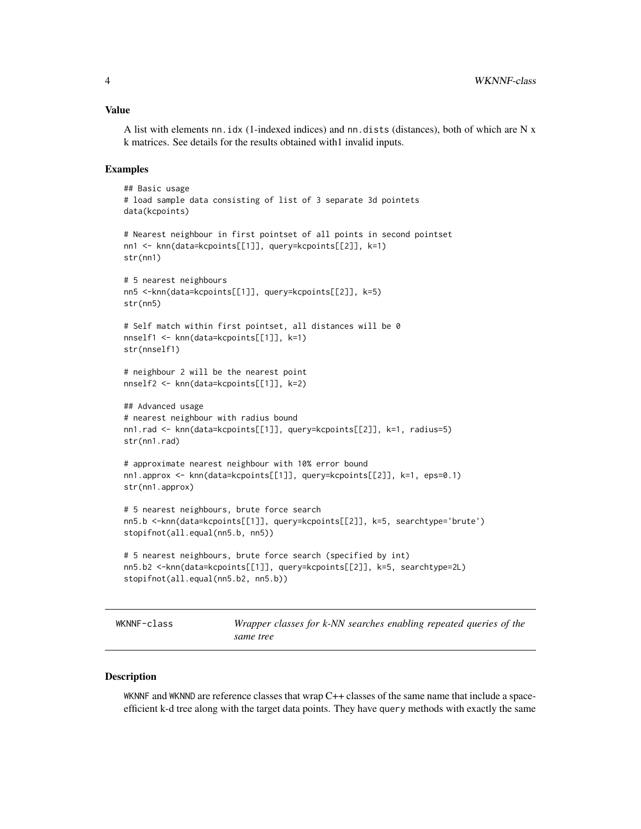#### <span id="page-3-0"></span>Value

A list with elements nn.idx (1-indexed indices) and nn.dists (distances), both of which are N x k matrices. See details for the results obtained with1 invalid inputs.

#### Examples

```
## Basic usage
# load sample data consisting of list of 3 separate 3d pointets
data(kcpoints)
# Nearest neighbour in first pointset of all points in second pointset
nn1 <- knn(data=kcpoints[[1]], query=kcpoints[[2]], k=1)
str(nn1)
# 5 nearest neighbours
nn5 <-knn(data=kcpoints[[1]], query=kcpoints[[2]], k=5)
str(nn5)
# Self match within first pointset, all distances will be 0
nnself1 <- knn(data=kcpoints[[1]], k=1)
str(nnself1)
# neighbour 2 will be the nearest point
nnself2 <- knn(data=kcpoints[[1]], k=2)
## Advanced usage
# nearest neighbour with radius bound
nn1.rad <- knn(data=kcpoints[[1]], query=kcpoints[[2]], k=1, radius=5)
str(nn1.rad)
# approximate nearest neighbour with 10% error bound
nn1.approx <- knn(data=kcpoints[[1]], query=kcpoints[[2]], k=1, eps=0.1)
str(nn1.approx)
# 5 nearest neighbours, brute force search
nn5.b <-knn(data=kcpoints[[1]], query=kcpoints[[2]], k=5, searchtype='brute')
stopifnot(all.equal(nn5.b, nn5))
# 5 nearest neighbours, brute force search (specified by int)
nn5.b2 <-knn(data=kcpoints[[1]], query=kcpoints[[2]], k=5, searchtype=2L)
stopifnot(all.equal(nn5.b2, nn5.b))
```
WKNNF-class *Wrapper classes for k-NN searches enabling repeated queries of the same tree*

#### <span id="page-3-1"></span>Description

WKNNF and WKNND are reference classes that wrap C++ classes of the same name that include a spaceefficient k-d tree along with the target data points. They have query methods with exactly the same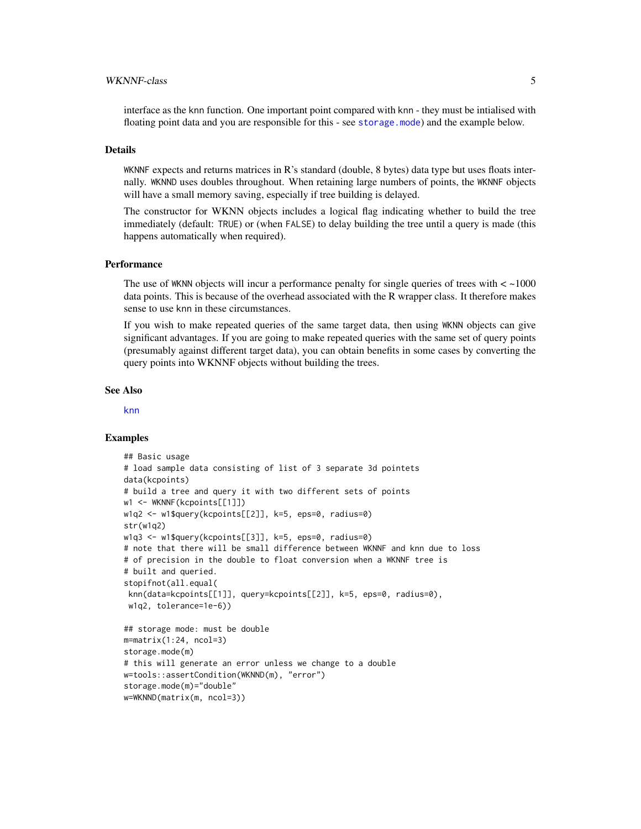#### <span id="page-4-0"></span>WKNNF-class 5

interface as the knn function. One important point compared with knn - they must be intialised with floating point data and you are responsible for this - see [storage.mode](#page-0-0)) and the example below.

### Details

WKNNF expects and returns matrices in R's standard (double, 8 bytes) data type but uses floats internally. WKNND uses doubles throughout. When retaining large numbers of points, the WKNNF objects will have a small memory saving, especially if tree building is delayed.

The constructor for WKNN objects includes a logical flag indicating whether to build the tree immediately (default: TRUE) or (when FALSE) to delay building the tree until a query is made (this happens automatically when required).

#### **Performance**

The use of WKNN objects will incur a performance penalty for single queries of trees with  $\lt$  ~1000 data points. This is because of the overhead associated with the R wrapper class. It therefore makes sense to use knn in these circumstances.

If you wish to make repeated queries of the same target data, then using WKNN objects can give significant advantages. If you are going to make repeated queries with the same set of query points (presumably against different target data), you can obtain benefits in some cases by converting the query points into WKNNF objects without building the trees.

#### See Also

[knn](#page-2-1)

#### Examples

```
## Basic usage
# load sample data consisting of list of 3 separate 3d pointets
data(kcpoints)
# build a tree and query it with two different sets of points
w1 <- WKNNF(kcpoints[[1]])
w1q2 <- w1$query(kcpoints[[2]], k=5, eps=0, radius=0)
str(w1q2)
w1q3 <- w1$query(kcpoints[[3]], k=5, eps=0, radius=0)
# note that there will be small difference between WKNNF and knn due to loss
# of precision in the double to float conversion when a WKNNF tree is
# built and queried.
stopifnot(all.equal(
knn(data=kcpoints[[1]], query=kcpoints[[2]], k=5, eps=0, radius=0),
w1q2, tolerance=1e-6))
## storage mode: must be double
m=matrix(1:24, ncol=3)
storage.mode(m)
# this will generate an error unless we change to a double
w=tools::assertCondition(WKNND(m), "error")
storage.mode(m)="double"
w=WKNND(matrix(m, ncol=3))
```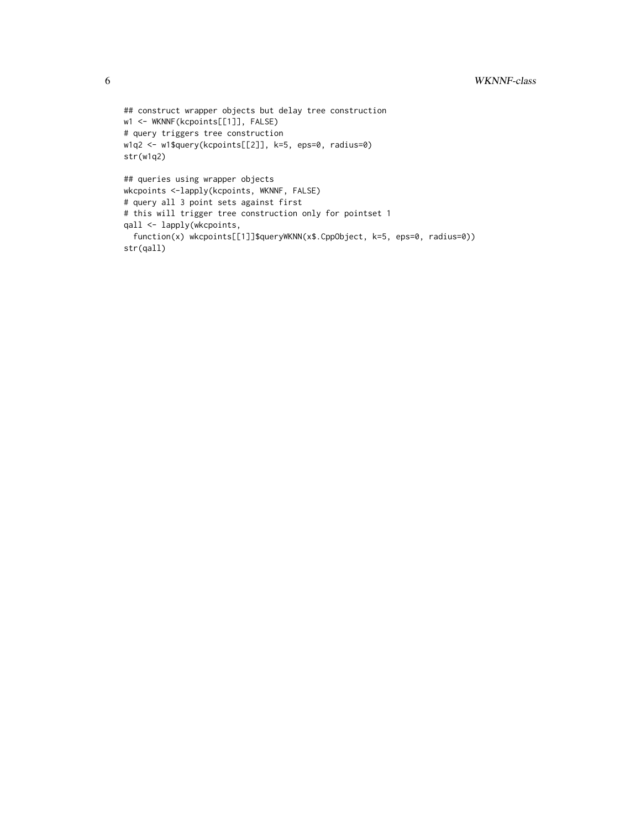```
## construct wrapper objects but delay tree construction
w1 <- WKNNF(kcpoints[[1]], FALSE)
# query triggers tree construction
w1q2 <- w1$query(kcpoints[[2]], k=5, eps=0, radius=0)
str(w1q2)
## queries using wrapper objects
wkcpoints <-lapply(kcpoints, WKNNF, FALSE)
# query all 3 point sets against first
# this will trigger tree construction only for pointset 1
qall <- lapply(wkcpoints,
  function(x) wkcpoints[[1]]$queryWKNN(x$.CppObject, k=5, eps=0, radius=0))
str(qall)
```